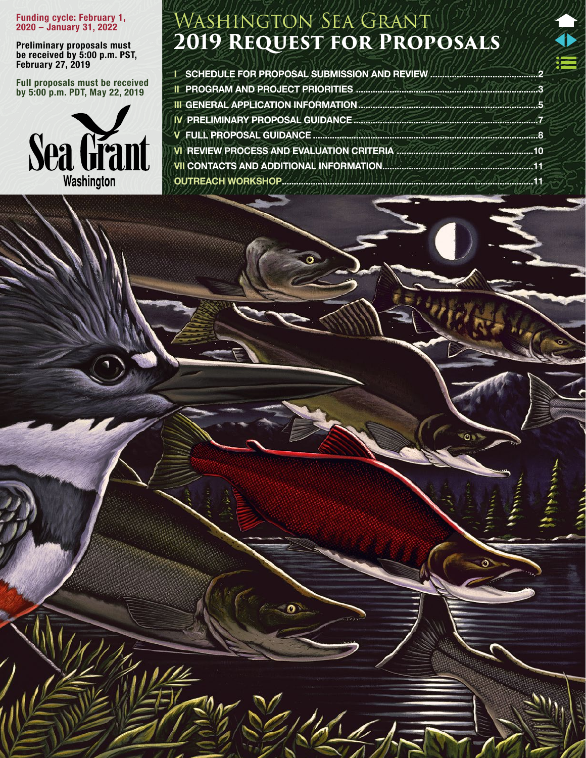#### Funding cycle: February 1, 2020 – January 31, 2022

Preliminary proposals must be received by 5:00 p.m. PST, February 27, 2019

Full proposals must be received by 5:00 p.m. PDT, May 22, 2019



# Washington Sea Grant **2019 Request for Proposals**

**I [SCHEDULE FOR PROPOSAL SUBMISSION AND REVIEW](#page-1-0) ....** [II PROGRAM AND PROJECT PRIORITIES ............................................................................3](#page-2-0) [III GENERAL APPLICATION INFORMATION...........................................................................5](#page-4-0) [IV PRELIMINARY PROPOSAL GUIDANCE.............................................................................7](#page-6-0) V FULL PROPOSAL GUIDANCE [..............................................................................................8](#page-7-0) [VI REVIEW PROCESS AND EVALUATION CRITERIA .........................................................10](#page-9-0) [VII CONTACTS AND ADDITIONAL INFORMATION...............................................................11](#page-10-0) [OUTREACH WORKSHOP.........................................................................................................11](#page-10-0)

 $\mathcal{U} = \mathcal{U}$  is the sea Grant  $\mathcal{U} = \mathcal{U}$  for  $\mathcal{U} = \mathcal{U}$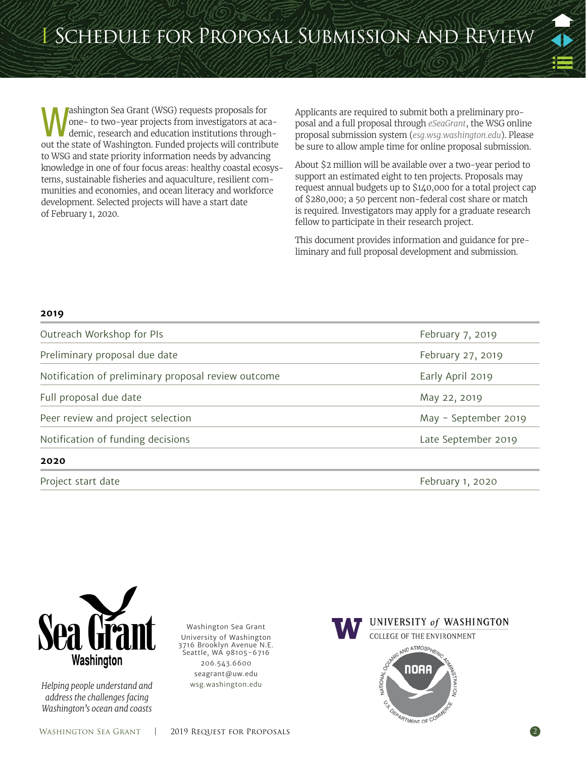<span id="page-1-0"></span>ashington Sea Grant (WSG) requests proposals for one- to two-year projects from investigators at academic, research and education institutions throughout the state of Washington. Funded projects will contribute to WSG and state priority information needs by advancing knowledge in one of four focus areas: healthy coastal ecosystems, sustainable fisheries and aquaculture, resilient communities and economies, and ocean literacy and workforce development. Selected projects will have a start date of February 1, 2020.

Applicants are required to submit both a preliminary proposal and a full proposal through *[eSeaGrant](http://esg.wsg.washington.edu)*, the WSG online proposal submission system (*[esg.wsg.washington.edu](http://esg.wsg.washington.edu/)*). Please be sure to allow ample time for online proposal submission.

About \$2 million will be available over a two-year period to support an estimated eight to ten projects. Proposals may request annual budgets up to \$140,000 for a total project cap of \$280,000; a 50 percent non-federal cost share or match is required. Investigators may apply for a graduate research fellow to participate in their research project.

This document provides information and guidance for preliminary and full proposal development and submission.

#### **2019**

| Preliminary proposal due date                       | February 27, 2019    |
|-----------------------------------------------------|----------------------|
| Notification of preliminary proposal review outcome | Early April 2019     |
| Full proposal due date                              | May 22, 2019         |
| Peer review and project selection                   | May - September 2019 |
| Notification of funding decisions                   | Late September 2019  |
| 2020                                                |                      |

Project start date **February 1, 2020** 



*Helping people understand and address the challenges facing Washington's ocean and coasts*

Washington Sea Grant University of Washington 3716 Brooklyn Avenue N.E. Seattle, WA 98105-6716 206.543.6600 [seagrant@uw.edu](mailto:seagrant@u.washington.edu) [wsg.washington.edu](http://www.wsg.washington.edu)

UNIVERSITY of WASHINGTON **COLLEGE OF THE ENVIRONMENT** ND ATMOSPH noek ARTMENT OF CO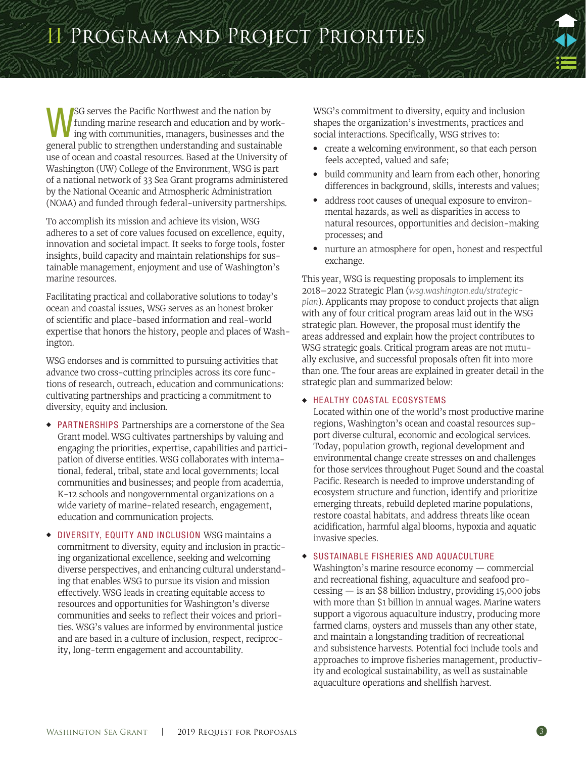<span id="page-2-0"></span>**WEG** serves the Pacific Northwest and the nation by tunding marine research and education and by working with communities, managers, businesses and the national by the server of the server of the server of the server of t funding marine research and education and by workgeneral public to strengthen understanding and sustainable use of ocean and coastal resources. Based at the University of Washington (UW) College of the Environment, WSG is part of a national network of 33 Sea Grant programs administered by the National Oceanic and Atmospheric Administration (NOAA) and funded through federal-university partnerships.

To accomplish its mission and achieve its vision, WSG adheres to a set of core values focused on excellence, equity, innovation and societal impact. It seeks to forge tools, foster insights, build capacity and maintain relationships for sustainable management, enjoyment and use of Washington's marine resources.

Facilitating practical and collaborative solutions to today's ocean and coastal issues, WSG serves as an honest broker of scientific and place-based information and real-world expertise that honors the history, people and places of Washington.

WSG endorses and is committed to pursuing activities that advance two cross-cutting principles across its core functions of research, outreach, education and communications: cultivating partnerships and practicing a commitment to diversity, equity and inclusion.

- ◆ PARTNERSHIPS Partnerships are a cornerstone of the Sea Grant model. WSG cultivates partnerships by valuing and engaging the priorities, expertise, capabilities and participation of diverse entities. WSG collaborates with international, federal, tribal, state and local governments; local communities and businesses; and people from academia, K-12 schools and nongovernmental organizations on a wide variety of marine-related research, engagement, education and communication projects.
- DIVERSITY, EQUITY AND INCLUSION WSG maintains a commitment to diversity, equity and inclusion in practicing organizational excellence, seeking and welcoming diverse perspectives, and enhancing cultural understanding that enables WSG to pursue its vision and mission effectively. WSG leads in creating equitable access to resources and opportunities for Washington's diverse communities and seeks to reflect their voices and priorities. WSG's values are informed by environmental justice and are based in a culture of inclusion, respect, reciprocity, long-term engagement and accountability.

WSG's commitment to diversity, equity and inclusion shapes the organization's investments, practices and social interactions. Specifically, WSG strives to:

- create a welcoming environment, so that each person feels accepted, valued and safe;
- build community and learn from each other, honoring differences in background, skills, interests and values;
- address root causes of unequal exposure to environmental hazards, as well as disparities in access to natural resources, opportunities and decision-making processes; and
- nurture an atmosphere for open, honest and respectful exchange.

This year, WSG is requesting proposals to implement its 2018–2022 Strategic Plan (*wsg.washington.edu/strategicplan*). Applicants may propose to conduct projects that align with any of four critical program areas laid out in the WSG strategic plan. However, the proposal must identify the areas addressed and explain how the project contributes to WSG strategic goals. Critical program areas are not mutually exclusive, and successful proposals often fit into more than one. The four areas are explained in greater detail in the strategic plan and summarized below:

#### ◆ HEALTHY COASTAL ECOSYSTEMS

Located within one of the world's most productive marine regions, Washington's ocean and coastal resources support diverse cultural, economic and ecological services. Today, population growth, regional development and environmental change create stresses on and challenges for those services throughout Puget Sound and the coastal Pacific. Research is needed to improve understanding of ecosystem structure and function, identify and prioritize emerging threats, rebuild depleted marine populations, restore coastal habitats, and address threats like ocean acidification, harmful algal blooms, hypoxia and aquatic invasive species.

#### ◆ SUSTAINABLE FISHERIES AND AQUACULTURE

Washington's marine resource economy — commercial and recreational fishing, aquaculture and seafood pro- $\text{cessing}$  — is an \$8 billion industry, providing 15,000 jobs with more than \$1 billion in annual wages. Marine waters support a vigorous aquaculture industry, producing more farmed clams, oysters and mussels than any other state, and maintain a longstanding tradition of recreational and subsistence harvests. Potential foci include tools and approaches to improve fisheries management, productivity and ecological sustainability, as well as sustainable aquaculture operations and shellfish harvest.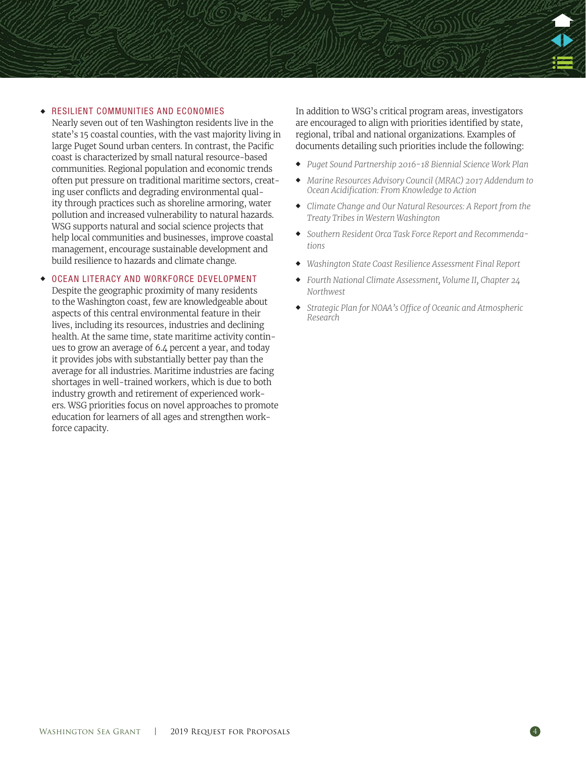#### ◆ RESILIENT COMMUNITIES AND ECONOMIES

Nearly seven out of ten Washington residents live in the state's 15 coastal counties, with the vast majority living in large Puget Sound urban centers. In contrast, the Pacific coast is characterized by small natural resource-based communities. Regional population and economic trends often put pressure on traditional maritime sectors, creating user conflicts and degrading environmental quality through practices such as shoreline armoring, water pollution and increased vulnerability to natural hazards. WSG supports natural and social science projects that help local communities and businesses, improve coastal management, encourage sustainable development and build resilience to hazards and climate change.

#### ◆ OCEAN LITERACY AND WORKFORCE DEVELOPMENT

Despite the geographic proximity of many residents to the Washington coast, few are knowledgeable about aspects of this central environmental feature in their lives, including its resources, industries and declining health. At the same time, state maritime activity continues to grow an average of 6.4 percent a year, and today it provides jobs with substantially better pay than the average for all industries. Maritime industries are facing shortages in well-trained workers, which is due to both industry growth and retirement of experienced workers. WSG priorities focus on novel approaches to promote education for learners of all ages and strengthen workforce capacity.

In addition to WSG's critical program areas, investigators are encouraged to align with priorities identified by state, regional, tribal and national organizations. Examples of documents detailing such priorities include the following:

- ◆ *[Puget Sound Partnership 2016-18 Biennial Science Work Plan](http://www.psp.wa.gov/science-workplan.php)*
- ◆ *[Marine Resources Advisory Council \(MRAC\) 2017 Addendum to](http://www.oainwa.org/assets/docs/2017_Addendum_BRP_Report_fullreport.pdf)  [Ocean Acidification: From Knowledge to Action](http://www.oainwa.org/assets/docs/2017_Addendum_BRP_Report_fullreport.pdf)*
- ◆ *[Climate Change and Our Natural Resources: A Report from the](http://nwifc.org/w/wp-content/uploads/downloads/2017/01/CC_and_Our_NR_Report_2016-1.pdf)  [Treaty Tribes in Western Washington](http://nwifc.org/w/wp-content/uploads/downloads/2017/01/CC_and_Our_NR_Report_2016-1.pdf)*
- ◆ *[Southern Resident Orca Task Force Report and Recommenda](https://www.governor.wa.gov/sites/default/files/OrcaTaskForce_reportandrecommendations_11.16.18.pdf)[tions](https://www.governor.wa.gov/sites/default/files/OrcaTaskForce_reportandrecommendations_11.16.18.pdf)*
- ◆ *[Washington State Coast Resilience Assessment Final Report](https://s3.wp.wsu.edu/uploads/sites/2180/2013/06/Washington-Coast-Resilience-Assessment-Report_Final_5.1.17.pdf)*
- ◆ *[Fourth National Climate Assessment, Volume II, Chapter 24](https://nca2018.globalchange.gov/downloads/NCA4_Ch24_Northwest_Full.pdf)  [Northwest](https://nca2018.globalchange.gov/downloads/NCA4_Ch24_Northwest_Full.pdf)*
- ◆ *[Strategic Plan for NOAA's Office of Oceanic and Atmospheric](http://research.noaa.gov/sites/oar/Documents/OARStrategicPlan.pdf)  [Research](http://research.noaa.gov/sites/oar/Documents/OARStrategicPlan.pdf)*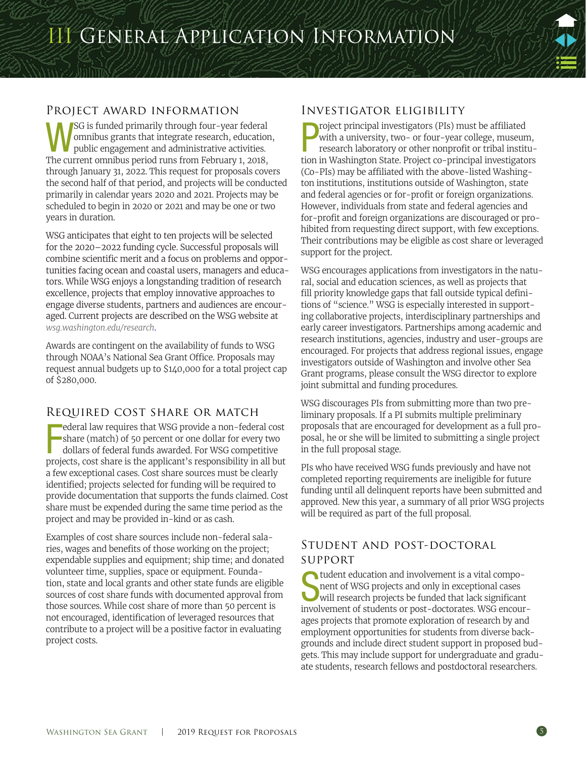# <span id="page-4-0"></span>Project award information

SG is funded primarily through four-year federal omnibus grants that integrate research, education, public engagement and administrative activities. The current omnibus period runs from February 1, 2018, through January 31, 2022. This request for proposals covers the second half of that period, and projects will be conducted primarily in calendar years 2020 and 2021. Projects may be scheduled to begin in 2020 or 2021 and may be one or two years in duration.

WSG anticipates that eight to ten projects will be selected for the 2020–2022 funding cycle. Successful proposals will combine scientific merit and a focus on problems and opportunities facing ocean and coastal users, managers and educators. While WSG enjoys a longstanding tradition of research excellence, projects that employ innovative approaches to engage diverse students, partners and audiences are encouraged. Current projects are described on the WSG website at *[wsg.washington.edu/research](https://wsg.washington.edu/research/)*.

Awards are contingent on the availability of funds to WSG through NOAA's National Sea Grant Office. Proposals may request annual budgets up to \$140,000 for a total project cap of \$280,000.

# Required cost share or match

F ederal law requires that WSG provide a non-federal cost share (match) of 50 percent or one dollar for every two dollars of federal funds awarded. For WSG competitive projects, cost share is the applicant's responsibility in all but a few exceptional cases. Cost share sources must be clearly identified; projects selected for funding will be required to provide documentation that supports the funds claimed. Cost share must be expended during the same time period as the project and may be provided in-kind or as cash.

Examples of cost share sources include non-federal salaries, wages and benefits of those working on the project; expendable supplies and equipment; ship time; and donated volunteer time, supplies, space or equipment. Foundation, state and local grants and other state funds are eligible sources of cost share funds with documented approval from those sources. While cost share of more than 50 percent is not encouraged, identification of leveraged resources that contribute to a project will be a positive factor in evaluating project costs.

# Investigator eligibility

**P** roject principal investigators (PIs) must be affiliated with a university, two- or four-year college, museum, research laboratory or other nonprofit or tribal institution in Washington State. Project co-principal inves roject principal investigators (PIs) must be affiliated with a university, two- or four-year college, museum, research laboratory or other nonprofit or tribal institu-(Co-PIs) may be affiliated with the above-listed Washington institutions, institutions outside of Washington, state and federal agencies or for-profit or foreign organizations. However, individuals from state and federal agencies and for-profit and foreign organizations are discouraged or prohibited from requesting direct support, with few exceptions. Their contributions may be eligible as cost share or leveraged support for the project.

WSG encourages applications from investigators in the natural, social and education sciences, as well as projects that fill priority knowledge gaps that fall outside typical definitions of "science." WSG is especially interested in supporting collaborative projects, interdisciplinary partnerships and early career investigators. Partnerships among academic and research institutions, agencies, industry and user-groups are encouraged. For projects that address regional issues, engage investigators outside of Washington and involve other Sea Grant programs, please consult the WSG director to explore joint submittal and funding procedures.

WSG discourages PIs from submitting more than two preliminary proposals. If a PI submits multiple preliminary proposals that are encouraged for development as a full proposal, he or she will be limited to submitting a single project in the full proposal stage.

PIs who have received WSG funds previously and have not completed reporting requirements are ineligible for future funding until all delinquent reports have been submitted and approved. New this year, a summary of all prior WSG projects will be required as part of the full proposal.

# Student and post-doctoral support

student education and involvement is a vital component of WSG projects and only in exceptional cases<br>will research projects be funded that lack significant<br>involvements nent of WSG projects and only in exceptional cases will research projects be funded that lack significant involvement of students or post-doctorates. WSG encourages projects that promote exploration of research by and employment opportunities for students from diverse backgrounds and include direct student support in proposed budgets. This may include support for undergraduate and graduate students, research fellows and postdoctoral researchers.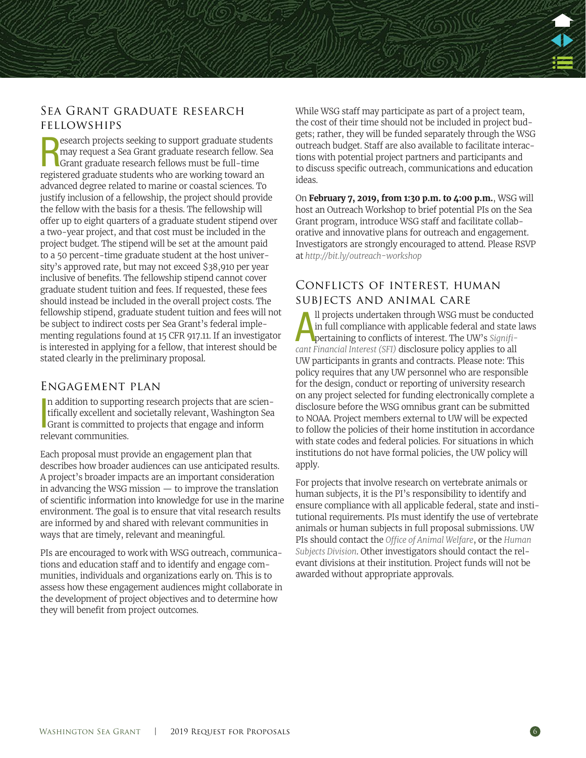# Sea Grant graduate research fellowships

**REGEN** estand projects seeking to support graduate student may request a Sea Grant graduate research fellow. See Grant graduate research fellows must be full-time registered graduate students who are working toward an esearch projects seeking to support graduate students may request a Sea Grant graduate research fellow. Sea Grant graduate research fellows must be full-time advanced degree related to marine or coastal sciences. To justify inclusion of a fellowship, the project should provide the fellow with the basis for a thesis. The fellowship will offer up to eight quarters of a graduate student stipend over a two-year project, and that cost must be included in the project budget. The stipend will be set at the amount paid to a 50 percent-time graduate student at the host university's approved rate, but may not exceed \$38,910 per year inclusive of benefits. The fellowship stipend cannot cover graduate student tuition and fees. If requested, these fees should instead be included in the overall project costs. The fellowship stipend, graduate student tuition and fees will not be subject to indirect costs per Sea Grant's federal implementing regulations found at 15 CFR 917.11. If an investigator is interested in applying for a fellow, that interest should be stated clearly in the preliminary proposal.

## Engagement plan

In addition to supporting research projects that are scien-<br>tifically excellent and societally relevant, Washington Sea<br>Grant is committed to projects that engage and inform tifically excellent and societally relevant, Washington Sea Grant is committed to projects that engage and inform relevant communities.

Each proposal must provide an engagement plan that describes how broader audiences can use anticipated results. A project's broader impacts are an important consideration in advancing the WSG mission — to improve the translation of scientific information into knowledge for use in the marine environment. The goal is to ensure that vital research results are informed by and shared with relevant communities in ways that are timely, relevant and meaningful.

PIs are encouraged to work with WSG outreach, communications and education staff and to identify and engage communities, individuals and organizations early on. This is to assess how these engagement audiences might collaborate in the development of project objectives and to determine how they will benefit from project outcomes.

While WSG staff may participate as part of a project team, the cost of their time should not be included in project budgets; rather, they will be funded separately through the WSG outreach budget. Staff are also available to facilitate interactions with potential project partners and participants and to discuss specific outreach, communications and education ideas.

On **February 7, 2019, from 1:30 p.m. to 4:00 p.m.**, WSG will host an Outreach Workshop to brief potential PIs on the Sea Grant program, introduce WSG staff and facilitate collaborative and innovative plans for outreach and engagement. Investigators are strongly encouraged to attend. Please RSVP at*<http://bit.ly/outreach-workshop>*

# Conflicts of interest, human subjects and animal care

*[cant Financial Interest \(SFI\)](http://www.washington.edu/research/osp/gim/gim10.html)* disclosure policy applies to all pertaining to conflicts of interest. The UW's *Significant Financial Interest (SFI)* disclosure policy applies to all ll projects undertaken through WSG must be conducted in full compliance with applicable federal and state laws pertaining to conflicts of interest. The UW's *[Signifi-](http://www.washington.edu/research/osp/gim/gim10.html)*UW participants in grants and contracts. Please note: This policy requires that any UW personnel who are responsible for the design, conduct or reporting of university research on any project selected for funding electronically complete a disclosure before the WSG omnibus grant can be submitted to NOAA. Project members external to UW will be expected to follow the policies of their home institution in accordance with state codes and federal policies. For situations in which institutions do not have formal policies, the UW policy will apply.

For projects that involve research on vertebrate animals or human subjects, it is the PI's responsibility to identify and ensure compliance with all applicable federal, state and institutional requirements. PIs must identify the use of vertebrate animals or human subjects in full proposal submissions. UW PIs should contact the *[Office of Animal Welfare](http://depts.washington.edu/oawhome)*, or the *[Human](http://www.washington.edu/research/hsd/)  [Subjects Division](http://www.washington.edu/research/hsd/)*. Other investigators should contact the relevant divisions at their institution. Project funds will not be awarded without appropriate approvals.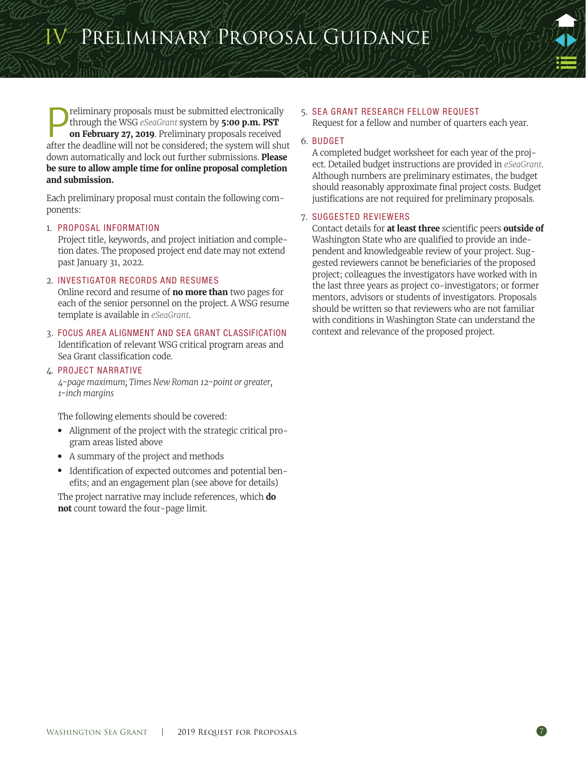<span id="page-6-0"></span>IV Preliminary Proposal Guidance

**Preliminary proposals must be submitted electronically**<br>through the WSG *eSeaGrant* system by **5:00 p.m. PST**<br>on **February 27, 2019**. Preliminary proposals received<br>after the doadling will not be considered; the system wi through the WSG *[eSeaGrant](http://esg.wsg.washington.edu)* system by **5:00 p.m. PST on February 27, 2019**. Preliminary proposals received after the deadline will not be considered; the system will shut down automatically and lock out further submissions. **Please be sure to allow ample time for online proposal completion and submission.**

Each preliminary proposal must contain the following components:

#### 1. PROPOSAL INFORMATION

Project title, keywords, and project initiation and completion dates. The proposed project end date may not extend past January 31, 2022.

#### 2. INVESTIGATOR RECORDS AND RESUMES

Online record and resume of **no more than** two pages for each of the senior personnel on the project. A WSG resume template is available in *[eSeaGrant](http://esg.wsg.washington.edu/)*.

3. FOCUS AREA ALIGNMENT AND SEA GRANT CLASSIFICATION Identification of relevant WSG critical program areas and Sea Grant classification code.

#### 4. PROJECT NARRATIVE

*4-page maximum; Times New Roman 12-point or greater, 1-inch margins*

The following elements should be covered:

- Alignment of the project with the strategic critical program areas listed above
- A summary of the project and methods
- Identification of expected outcomes and potential benefits; and an engagement plan (see above for details)

The project narrative may include references, which **do not** count toward the four-page limit.

#### 5. SEA GRANT RESEARCH FELLOW REQUEST

Request for a fellow and number of quarters each year.

#### 6. BUDGET

A completed budget worksheet for each year of the project. Detailed budget instructions are provided in *[eSeaGrant](http://esg.wsg.washington.edu)*. Although numbers are preliminary estimates, the budget should reasonably approximate final project costs. Budget justifications are not required for preliminary proposals.

#### 7. SUGGESTED REVIEWERS

Contact details for **at least three** scientific peers **outside of**  Washington State who are qualified to provide an independent and knowledgeable review of your project. Suggested reviewers cannot be beneficiaries of the proposed project; colleagues the investigators have worked with in the last three years as project co-investigators; or former mentors, advisors or students of investigators. Proposals should be written so that reviewers who are not familiar with conditions in Washington State can understand the context and relevance of the proposed project.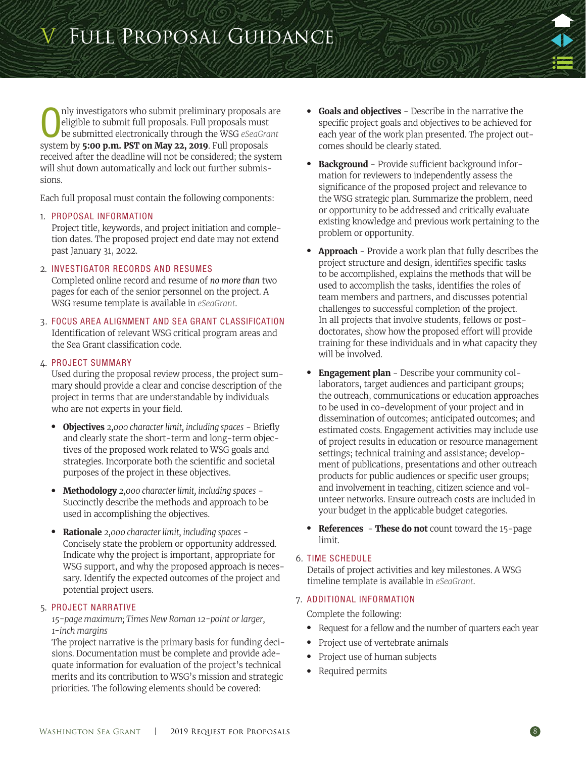<span id="page-7-0"></span>Only investigators who submit preliminary proposals a eligible to submit full proposals. Full proposals must be submitted electronically through the WSG *eSeaGra* system by **5:00 p.m. PST on May 22, 2019**. Full proposals nly investigators who submit preliminary proposals are eligible to submit full proposals. Full proposals must be submitted electronically through the WSG *[eSeaGrant](http://esg.wsg.washington.edu)*  received after the deadline will not be considered; the system will shut down automatically and lock out further submissions.

Each full proposal must contain the following components:

# 1. PROPOSAL INFORMATION

Project title, keywords, and project initiation and completion dates. The proposed project end date may not extend past January 31, 2022.

# 2. INVESTIGATOR RECORDS AND RESUMES

Completed online record and resume of *no more than* two pages for each of the senior personnel on the project. A WSG resume template is available in *[eSeaGrant](http://esg.wsg.washington.edu)*.

3. FOCUS AREA ALIGNMENT AND SEA GRANT CLASSIFICATION Identification of relevant WSG critical program areas and the Sea Grant classification code.

# 4. PROJECT SUMMARY

Used during the proposal review process, the project summary should provide a clear and concise description of the project in terms that are understandable by individuals who are not experts in your field.

- **Objectives** *2,000 character limit, including spaces* Briefly and clearly state the short-term and long-term objectives of the proposed work related to WSG goals and strategies. Incorporate both the scientific and societal purposes of the project in these objectives.
- **Methodology** *2,000 character limit, including spaces* Succinctly describe the methods and approach to be used in accomplishing the objectives.
- **Rationale** *2,000 character limit, including spaces* Concisely state the problem or opportunity addressed. Indicate why the project is important, appropriate for WSG support, and why the proposed approach is necessary. Identify the expected outcomes of the project and potential project users.

# 5. PROJECT NARRATIVE

## *15-page maximum; Times New Roman 12-point or larger, 1-inch margins*

The project narrative is the primary basis for funding decisions. Documentation must be complete and provide adequate information for evaluation of the project's technical merits and its contribution to WSG's mission and strategic priorities. The following elements should be covered:

- **Goals and objectives** Describe in the narrative the specific project goals and objectives to be achieved for each year of the work plan presented. The project outcomes should be clearly stated.
- **Background** Provide sufficient background information for reviewers to independently assess the significance of the proposed project and relevance to the WSG strategic plan. Summarize the problem, need or opportunity to be addressed and critically evaluate existing knowledge and previous work pertaining to the problem or opportunity.
- **Approach**  Provide a work plan that fully describes the project structure and design, identifies specific tasks to be accomplished, explains the methods that will be used to accomplish the tasks, identifies the roles of team members and partners, and discusses potential challenges to successful completion of the project. In all projects that involve students, fellows or postdoctorates, show how the proposed effort will provide training for these individuals and in what capacity they will be involved.
- **Engagement plan** Describe your community collaborators, target audiences and participant groups; the outreach, communications or education approaches to be used in co-development of your project and in dissemination of outcomes; anticipated outcomes; and estimated costs. Engagement activities may include use of project results in education or resource management settings; technical training and assistance; development of publications, presentations and other outreach products for public audiences or specific user groups; and involvement in teaching, citizen science and volunteer networks. Ensure outreach costs are included in your budget in the applicable budget categories.
- **References These do not** count toward the 15-page limit.

# 6. TIME SCHEDULE

Details of project activities and key milestones. A WSG timeline template is available in *[eSeaGrant](http://esg.wsg.washington.edu)*.

# 7. ADDITIONAL INFORMATION

Complete the following:

- Request for a fellow and the number of quarters each year
- Project use of vertebrate animals
- Project use of human subjects
- Required permits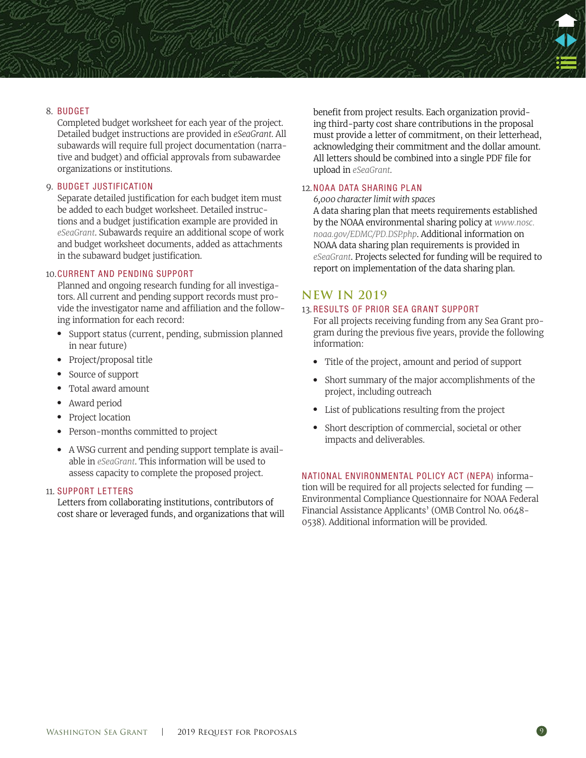

Completed budget worksheet for each year of the project. Detailed budget instructions are provided in *eSeaGrant*. All subawards will require full project documentation (narrative and budget) and official approvals from subawardee organizations or institutions.

#### 9. BUDGET JUSTIFICATION

Separate detailed justification for each budget item must be added to each budget worksheet. Detailed instructions and a budget justification example are provided in *[eSeaGrant](http://esg.wsg.washington.edu)*. Subawards require an additional scope of work and budget worksheet documents, added as attachments in the subaward budget justification.

#### 10.CURRENT AND PENDING SUPPORT

Planned and ongoing research funding for all investigators. All current and pending support records must provide the investigator name and affiliation and the following information for each record:

- Support status (current, pending, submission planned in near future)
- Project/proposal title
- Source of support
- Total award amount
- Award period
- Project location
- Person-months committed to project
- A WSG current and pending support template is available in *[eSeaGrant](http://esg.wsg.washington.edu)*. This information will be used to assess capacity to complete the proposed project.

#### 11. SUPPORT LETTERS

Letters from collaborating institutions, contributors of cost share or leveraged funds, and organizations that will benefit from project results. Each organization providing third-party cost share contributions in the proposal must provide a letter of commitment, on their letterhead, acknowledging their commitment and the dollar amount. All letters should be combined into a single PDF file for upload in *[eSeaGrant.](http://esg.wsg.washington.edu)*

#### 12.NOAA DATA SHARING PLAN

*6,000 character limit with spaces*

A data sharing plan that meets requirements established by the NOAA environmental sharing policy at *[www.nosc.](https://www.nosc.noaa.gov/EDMC/PD.DSP.php) [noaa.gov/EDMC/PD.DSP.php](https://www.nosc.noaa.gov/EDMC/PD.DSP.php)*. Additional information on NOAA data sharing plan requirements is provided in *[eSeaGrant](http://esg.wsg.washington.edu/)*. Projects selected for funding will be required to report on implementation of the data sharing plan.

### **NEW IN 2019**

#### 13. RESULTS OF PRIOR SEA GRANT SUPPORT

For all projects receiving funding from any Sea Grant program during the previous five years, provide the following information:

- Title of the project, amount and period of support
- Short summary of the major accomplishments of the project, including outreach
- List of publications resulting from the project
- Short description of commercial, societal or other impacts and deliverables.

NATIONAL ENVIRONMENTAL POLICY ACT (NEPA) information will be required for all projects selected for funding [—](http://seagrant.noaa.gov/Portals/0/Documents/funding_fellowship/forms_templates/NEPA_questionnaire%202015.pdf)  [Environmental Compliance Questionnaire for NOAA Federal](http://seagrant.noaa.gov/Portals/0/Documents/funding_fellowship/forms_templates/NEPA_questionnaire%202015.pdf)  [Financial Assistance Applicants' \(](http://seagrant.noaa.gov/Portals/0/Documents/funding_fellowship/forms_templates/NEPA_questionnaire%202015.pdf)OMB Control No. 0648- 0538). Additional information will be provided.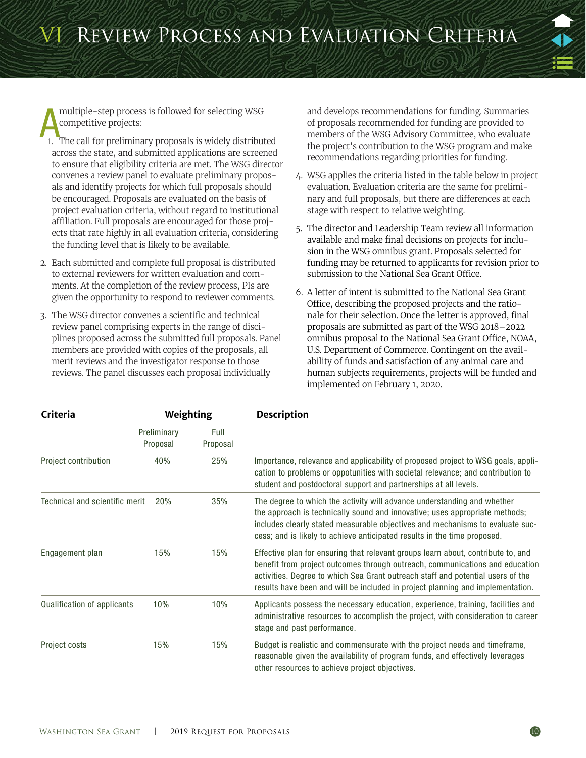<span id="page-9-0"></span>multiple-step process is followed for selecting WSG<br>
1. The call for preliminary proposals is widely distributed competitive projects:

- across the state, and submitted applications are screened to ensure that eligibility criteria are met. The WSG director convenes a review panel to evaluate preliminary proposals and identify projects for which full proposals should be encouraged. Proposals are evaluated on the basis of project evaluation criteria, without regard to institutional affiliation. Full proposals are encouraged for those projects that rate highly in all evaluation criteria, considering the funding level that is likely to be available.
- 2. Each submitted and complete full proposal is distributed to external reviewers for written evaluation and comments. At the completion of the review process, PIs are given the opportunity to respond to reviewer comments.
- 3. The WSG director convenes a scientific and technical review panel comprising experts in the range of disciplines proposed across the submitted full proposals. Panel members are provided with copies of the proposals, all merit reviews and the investigator response to those reviews. The panel discusses each proposal individually

and develops recommendations for funding. Summaries of proposals recommended for funding are provided to members of the WSG Advisory Committee, who evaluate the project's contribution to the WSG program and make recommendations regarding priorities for funding.

- 4. WSG applies the criteria listed in the table below in project evaluation. Evaluation criteria are the same for preliminary and full proposals, but there are differences at each stage with respect to relative weighting.
- 5. The director and Leadership Team review all information available and make final decisions on projects for inclusion in the WSG omnibus grant. Proposals selected for funding may be returned to applicants for revision prior to submission to the National Sea Grant Office.
- 6. A letter of intent is submitted to the National Sea Grant Office, describing the proposed projects and the rationale for their selection. Once the letter is approved, final proposals are submitted as part of the WSG 2018–2022 omnibus proposal to the National Sea Grant Office, NOAA, U.S. Department of Commerce. Contingent on the availability of funds and satisfaction of any animal care and human subjects requirements, projects will be funded and implemented on February 1, 2020.

| Criteria                       | Weighting               |                  | <b>Description</b>                                                                                                                                                                                                                                                                                                                    |  |
|--------------------------------|-------------------------|------------------|---------------------------------------------------------------------------------------------------------------------------------------------------------------------------------------------------------------------------------------------------------------------------------------------------------------------------------------|--|
|                                | Preliminary<br>Proposal | Full<br>Proposal |                                                                                                                                                                                                                                                                                                                                       |  |
| Project contribution           | 40%                     | 25%              | Importance, relevance and applicability of proposed project to WSG goals, appli-<br>cation to problems or oppotunities with societal relevance; and contribution to<br>student and postdoctoral support and partnerships at all levels.                                                                                               |  |
| Technical and scientific merit | 20%                     | 35%              | The degree to which the activity will advance understanding and whether<br>the approach is technically sound and innovative; uses appropriate methods;<br>includes clearly stated measurable objectives and mechanisms to evaluate suc-<br>cess; and is likely to achieve anticipated results in the time proposed.                   |  |
| Engagement plan                | 15%                     | 15%              | Effective plan for ensuring that relevant groups learn about, contribute to, and<br>benefit from project outcomes through outreach, communications and education<br>activities. Degree to which Sea Grant outreach staff and potential users of the<br>results have been and will be included in project planning and implementation. |  |
| Qualification of applicants    | 10%                     | 10%              | Applicants possess the necessary education, experience, training, facilities and<br>administrative resources to accomplish the project, with consideration to career<br>stage and past performance.                                                                                                                                   |  |
| Project costs                  | 15%                     | 15%              | Budget is realistic and commensurate with the project needs and timeframe,<br>reasonable given the availability of program funds, and effectively leverages<br>other resources to achieve project objectives.                                                                                                                         |  |